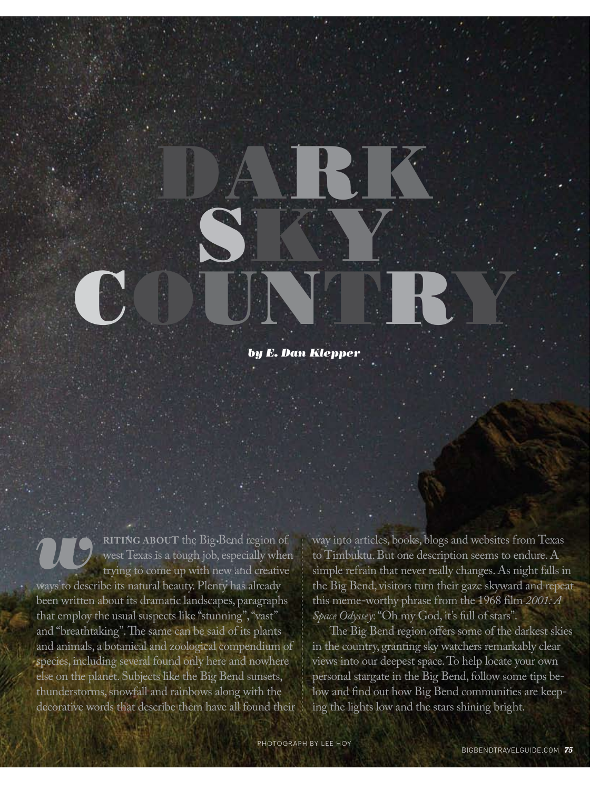# *by E. Dan Klepper*

DARK

COUNTRY

**RITING ABOUT** the Big Bend region of west Texas is a tough job, especially when trying to come up with new and creative ways to describe its natural beauty. Plenty has already been written about its dramatic landscapes, paragraphs that employ the usual suspects like "stunning", "vast" and "breathtaking". The same can be said of its plants and animals, a botanical and zoological compendium of species, including several found only here and nowhere else on the planet. Subjects like the Big Bend sunsets, thunderstorms, snowfall and rainbows along with the decorative words that describe them have all found their *w*

way into articles, books, blogs and websites from Texas to Timbuktu. But one description seems to endure. A simple refrain that never really changes. As night falls in the Big Bend, visitors turn their gaze skyward and repeat this meme-worthy phrase from the 1968 film *2001: A Space Odyssey*: "Oh my God, it's full of stars".

The Big Bend region offers some of the darkest skies in the country, granting sky watchers remarkably clear views into our deepest space. To help locate your own personal stargate in the Big Bend, follow some tips below and find out how Big Bend communities are keeping the lights low and the stars shining bright.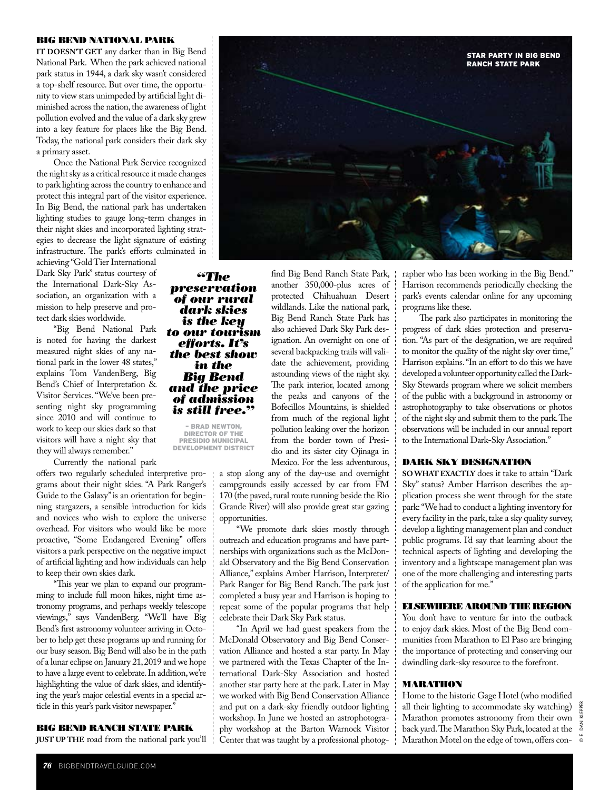#### BIG BEND NATIONAL PARK

**IT DOESN'T GET** any darker than in Big Bend National Park. When the park achieved national park status in 1944, a dark sky wasn't considered a top-shelf resource. But over time, the opportunity to view stars unimpeded by artificial light diminished across the nation, the awareness of light pollution evolved and the value of a dark sky grew into a key feature for places like the Big Bend. Today, the national park considers their dark sky a primary asset.

Once the National Park Service recognized the night sky as a critical resource it made changes to park lighting across the country to enhance and protect this integral part of the visitor experience. In Big Bend, the national park has undertaken lighting studies to gauge long-term changes in their night skies and incorporated lighting strategies to decrease the light signature of existing infrastructure. The park's efforts culminated in

achieving "Gold Tier International Dark Sky Park" status courtesy of the International Dark-Sky Association, an organization with a mission to help preserve and protect dark skies worldwide.

"Big Bend National Park is noted for having the darkest measured night skies of any national park in the lower 48 states," explains Tom VandenBerg, Big Bend's Chief of Interpretation & Visitor Services. "We've been presenting night sky programming since 2010 and will continue to work to keep our skies dark so that visitors will have a night sky that they will always remember."

Currently the national park

offers two regularly scheduled interpretive programs about their night skies. "A Park Ranger's Guide to the Galaxy" is an orientation for beginning stargazers, a sensible introduction for kids and novices who wish to explore the universe overhead. For visitors who would like be more proactive, "Some Endangered Evening" offers visitors a park perspective on the negative impact of artificial lighting and how individuals can help to keep their own skies dark.

"This year we plan to expand our programming to include full moon hikes, night time astronomy programs, and perhaps weekly telescope viewings," says VandenBerg. "We'll have Big Bend's first astronomy volunteer arriving in October to help get these programs up and running for our busy season. Big Bend will also be in the path of a lunar eclipse on January 21, 2019 and we hope to have a large event to celebrate. In addition, we're highlighting the value of dark skies, and identifying the year's major celestial events in a special article in this year's park visitor newspaper."

#### BIG BEND RANCH STATE PARK

**JUST UP THE** road from the national park you'll

*preservation of our rural dark skies is the key to our tourism efforts. It's the best show in the Big Bend and the price of admission is still free."*

*"The* 

– BRAD NEWTON, DIRECTOR OF THE PRESIDIO MUNICIPAL DEVELOPMENT DISTRICT

find Big Bend Ranch State Park, another 350,000-plus acres of protected Chihuahuan Desert wildlands. Like the national park, Big Bend Ranch State Park has also achieved Dark Sky Park designation. An overnight on one of several backpacking trails will validate the achievement, providing astounding views of the night sky. The park interior, located among the peaks and canyons of the Bofecillos Mountains, is shielded from much of the regional light pollution leaking over the horizon from the border town of Presidio and its sister city Ojinaga in Mexico. For the less adventurous,

a stop along any of the day-use and overnight campgrounds easily accessed by car from FM 170 (the paved, rural route running beside the Rio Grande River) will also provide great star gazing opportunities.

"We promote dark skies mostly through outreach and education programs and have partnerships with organizations such as the McDonald Observatory and the Big Bend Conservation Alliance," explains Amber Harrison, Interpreter/ Park Ranger for Big Bend Ranch. The park just completed a busy year and Harrison is hoping to repeat some of the popular programs that help celebrate their Dark Sky Park status.

"In April we had guest speakers from the McDonald Observatory and Big Bend Conservation Alliance and hosted a star party. In May we partnered with the Texas Chapter of the International Dark-Sky Association and hosted another star party here at the park. Later in May we worked with Big Bend Conservation Alliance and put on a dark-sky friendly outdoor lighting workshop. In June we hosted an astrophotography workshop at the Barton Warnock Visitor Center that was taught by a professional photographer who has been working in the Big Bend." Harrison recommends periodically checking the park's events calendar online for any upcoming programs like these.

The park also participates in monitoring the progress of dark skies protection and preservation. "As part of the designation, we are required to monitor the quality of the night sky over time," Harrison explains. "In an effort to do this we have developed a volunteer opportunity called the Dark-Sky Stewards program where we solicit members of the public with a background in astronomy or astrophotography to take observations or photos of the night sky and submit them to the park. The observations will be included in our annual report to the International Dark-Sky Association."

#### DARK SKY DESIGNATION

**SO WHAT EXACTLY** does it take to attain "Dark Sky" status? Amber Harrison describes the application process she went through for the state park: "We had to conduct a lighting inventory for every facility in the park, take a sky quality survey, develop a lighting management plan and conduct public programs. I'd say that learning about the technical aspects of lighting and developing the inventory and a lightscape management plan was one of the more challenging and interesting parts of the application for me."

#### ELSEWHERE AROUND THE REGION

You don't have to venture far into the outback to enjoy dark skies. Most of the Big Bend communities from Marathon to El Paso are bringing the importance of protecting and conserving our dwindling dark-sky resource to the forefront.

# MARATHON

Home to the historic Gage Hotel (who modified all their lighting to accommodate sky watching)  $\frac{85}{6}$ Marathon promotes astronomy from their own back yard. The Marathon Sky Park, located at the Marathon Motel on the edge of town, offers con-

© E. DAN KLEPPER

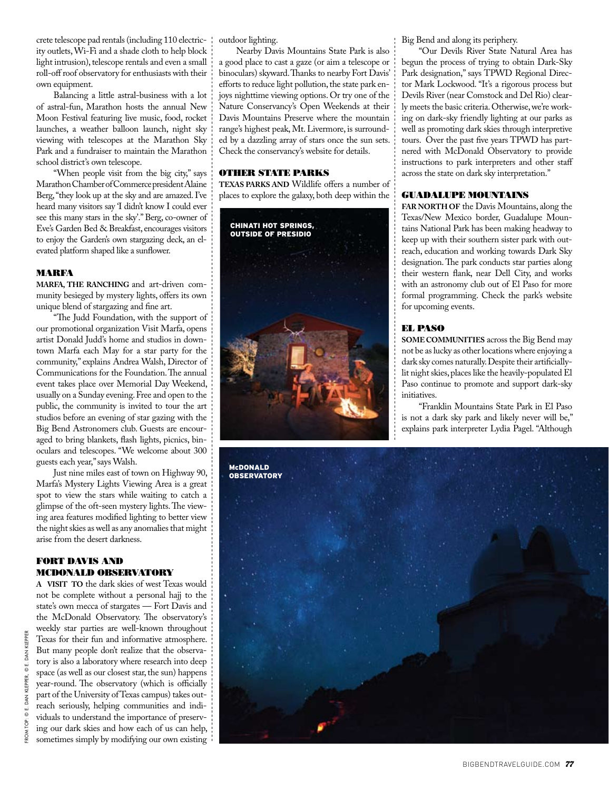crete telescope pad rentals (including 110 electricity outlets, Wi-Fi and a shade cloth to help block light intrusion), telescope rentals and even a small roll-off roof observatory for enthusiasts with their own equipment.

Balancing a little astral-business with a lot of astral-fun, Marathon hosts the annual New Moon Festival featuring live music, food, rocket launches, a weather balloon launch, night sky viewing with telescopes at the Marathon Sky Park and a fundraiser to maintain the Marathon school district's own telescope.

"When people visit from the big city," says Marathon Chamber of Commerce president Alaine Berg, "they look up at the sky and are amazed. I've heard many visitors say 'I didn't know I could ever see this many stars in the sky'." Berg, co-owner of Eve's Garden Bed & Breakfast, encourages visitors to enjoy the Garden's own stargazing deck, an elevated platform shaped like a sunflower.

#### MARFA

**MARFA, THE RANCHING** and art-driven community besieged by mystery lights, offers its own unique blend of stargazing and fine art.

"The Judd Foundation, with the support of our promotional organization Visit Marfa, opens artist Donald Judd's home and studios in downtown Marfa each May for a star party for the community," explains Andrea Walsh, Director of Communications for the Foundation. The annual event takes place over Memorial Day Weekend, usually on a Sunday evening. Free and open to the public, the community is invited to tour the art studios before an evening of star gazing with the Big Bend Astronomers club. Guests are encouraged to bring blankets, flash lights, picnics, binoculars and telescopes. "We welcome about 300 guests each year," says Walsh.

Just nine miles east of town on Highway 90, Marfa's Mystery Lights Viewing Area is a great spot to view the stars while waiting to catch a glimpse of the oft-seen mystery lights. The viewing area features modified lighting to better view the night skies as well as any anomalies that might arise from the desert darkness.

# FORT DAVIS AND MCDONALD OBSERVATORY

**A VISIT TO** the dark skies of west Texas would not be complete without a personal hajj to the state's own mecca of stargates — Fort Davis and the McDonald Observatory. The observatory's weekly star parties are well-known throughout Texas for their fun and informative atmosphere. But many people don't realize that the observatory is also a laboratory where research into deep space (as well as our closest star, the sun) happens year-round. The observatory (which is officially part of the University of Texas campus) takes outreach seriously, helping communities and individuals to understand the importance of preserving our dark skies and how each of us can help, sometimes simply by modifying our own existing

outdoor lighting.

Nearby Davis Mountains State Park is also a good place to cast a gaze (or aim a telescope or binoculars) skyward. Thanks to nearby Fort Davis' efforts to reduce light pollution, the state park enjoys nighttime viewing options. Or try one of the Nature Conservancy's Open Weekends at their Davis Mountains Preserve where the mountain range's highest peak, Mt. Livermore, is surrounded by a dazzling array of stars once the sun sets. Check the conservancy's website for details.

#### OTHER STATE PARKS

**TEXAS PARKS AND** Wildlife offers a number of places to explore the galaxy, both deep within the



Big Bend and along its periphery.

"Our Devils River State Natural Area has begun the process of trying to obtain Dark-Sky Park designation," says TPWD Regional Director Mark Lockwood. "It's a rigorous process but Devils River (near Comstock and Del Rio) clearly meets the basic criteria. Otherwise, we're working on dark-sky friendly lighting at our parks as well as promoting dark skies through interpretive tours. Over the past five years TPWD has partnered with McDonald Observatory to provide instructions to park interpreters and other staff across the state on dark sky interpretation."

# GUADALUPE MOUNTAINS

**FAR NORTH OF** the Davis Mountains, along the Texas/New Mexico border, Guadalupe Mountains National Park has been making headway to keep up with their southern sister park with outreach, education and working towards Dark Sky designation. The park conducts star parties along their western flank, near Dell City, and works with an astronomy club out of El Paso for more formal programming. Check the park's website for upcoming events.

# EL PASO

**SOME COMMUNITIES** across the Big Bend may not be as lucky as other locations where enjoying a dark sky comes naturally. Despite their artificiallylit night skies, places like the heavily-populated El Paso continue to promote and support dark-sky initiatives.

"Franklin Mountains State Park in El Paso is not a dark sky park and likely never will be," explains park interpreter Lydia Pagel. "Although